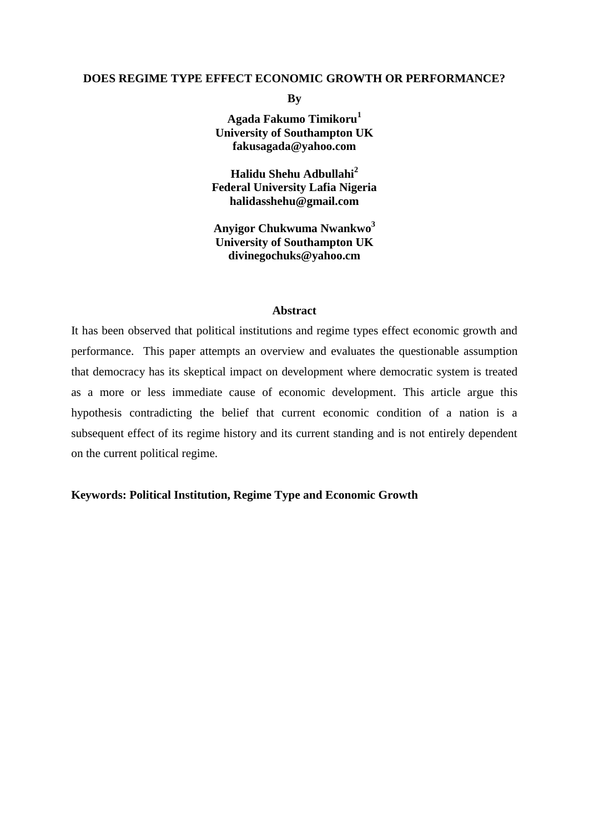#### **DOES REGIME TYPE EFFECT ECONOMIC GROWTH OR PERFORMANCE?**

**By**

**Agada Fakumo Timikoru<sup>1</sup> University of Southampton UK fakusagada@yahoo.com**

**Halidu Shehu Adbullahi<sup>2</sup> Federal University Lafia Nigeria halidasshehu@gmail.com**

**Anyigor Chukwuma Nwankwo<sup>3</sup> University of Southampton UK divinegochuks@yahoo.cm**

#### **Abstract**

It has been observed that political institutions and regime types effect economic growth and performance. This paper attempts an overview and evaluates the questionable assumption that democracy has its skeptical impact on development where democratic system is treated as a more or less immediate cause of economic development. This article argue this hypothesis contradicting the belief that current economic condition of a nation is a subsequent effect of its regime history and its current standing and is not entirely dependent on the current political regime.

# **Keywords: Political Institution, Regime Type and Economic Growth**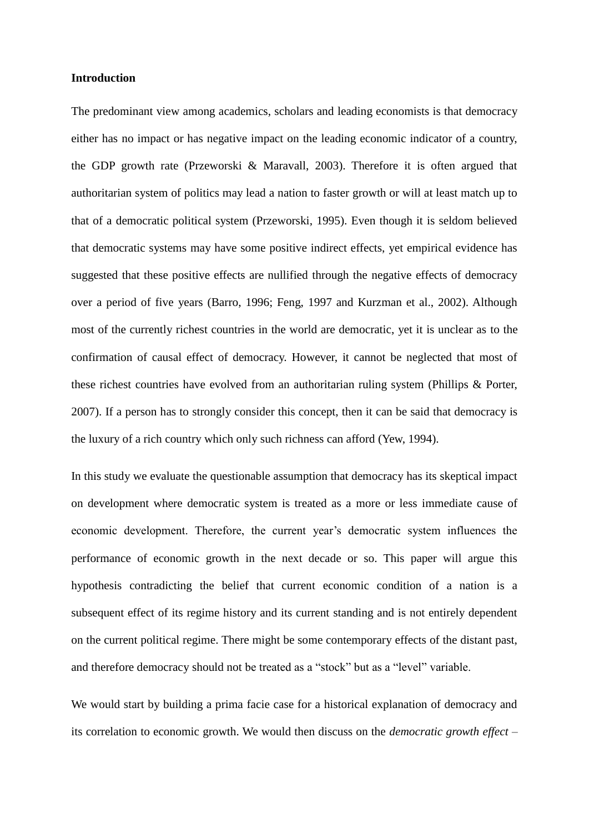### **Introduction**

The predominant view among academics, scholars and leading economists is that democracy either has no impact or has negative impact on the leading economic indicator of a country, the GDP growth rate (Przeworski & Maravall, 2003). Therefore it is often argued that authoritarian system of politics may lead a nation to faster growth or will at least match up to that of a democratic political system (Przeworski, 1995). Even though it is seldom believed that democratic systems may have some positive indirect effects, yet empirical evidence has suggested that these positive effects are nullified through the negative effects of democracy over a period of five years (Barro, 1996; Feng, 1997 and Kurzman et al., 2002). Although most of the currently richest countries in the world are democratic, yet it is unclear as to the confirmation of causal effect of democracy. However, it cannot be neglected that most of these richest countries have evolved from an authoritarian ruling system (Phillips & Porter, 2007). If a person has to strongly consider this concept, then it can be said that democracy is the luxury of a rich country which only such richness can afford (Yew, 1994).

In this study we evaluate the questionable assumption that democracy has its skeptical impact on development where democratic system is treated as a more or less immediate cause of economic development. Therefore, the current year's democratic system influences the performance of economic growth in the next decade or so. This paper will argue this hypothesis contradicting the belief that current economic condition of a nation is a subsequent effect of its regime history and its current standing and is not entirely dependent on the current political regime. There might be some contemporary effects of the distant past, and therefore democracy should not be treated as a "stock" but as a "level" variable.

We would start by building a prima facie case for a historical explanation of democracy and its correlation to economic growth. We would then discuss on the *democratic growth effect* –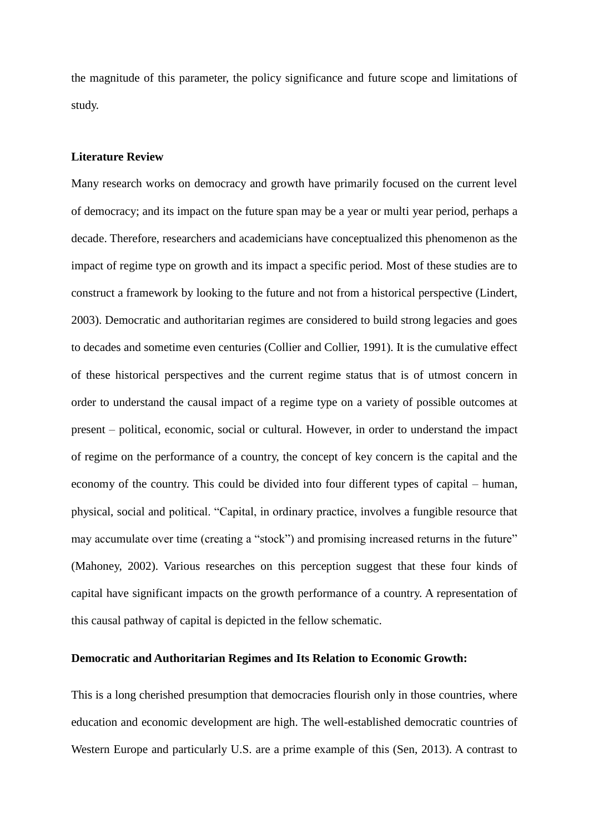the magnitude of this parameter, the policy significance and future scope and limitations of study.

### **Literature Review**

Many research works on democracy and growth have primarily focused on the current level of democracy; and its impact on the future span may be a year or multi year period, perhaps a decade. Therefore, researchers and academicians have conceptualized this phenomenon as the impact of regime type on growth and its impact a specific period. Most of these studies are to construct a framework by looking to the future and not from a historical perspective (Lindert, 2003). Democratic and authoritarian regimes are considered to build strong legacies and goes to decades and sometime even centuries (Collier and Collier, 1991). It is the cumulative effect of these historical perspectives and the current regime status that is of utmost concern in order to understand the causal impact of a regime type on a variety of possible outcomes at present – political, economic, social or cultural. However, in order to understand the impact of regime on the performance of a country, the concept of key concern is the capital and the economy of the country. This could be divided into four different types of capital – human, physical, social and political. "Capital, in ordinary practice, involves a fungible resource that may accumulate over time (creating a "stock") and promising increased returns in the future" (Mahoney, 2002). Various researches on this perception suggest that these four kinds of capital have significant impacts on the growth performance of a country. A representation of this causal pathway of capital is depicted in the fellow schematic.

## **Democratic and Authoritarian Regimes and Its Relation to Economic Growth:**

This is a long cherished presumption that democracies flourish only in those countries, where education and economic development are high. The well-established democratic countries of Western Europe and particularly U.S. are a prime example of this (Sen, 2013). A contrast to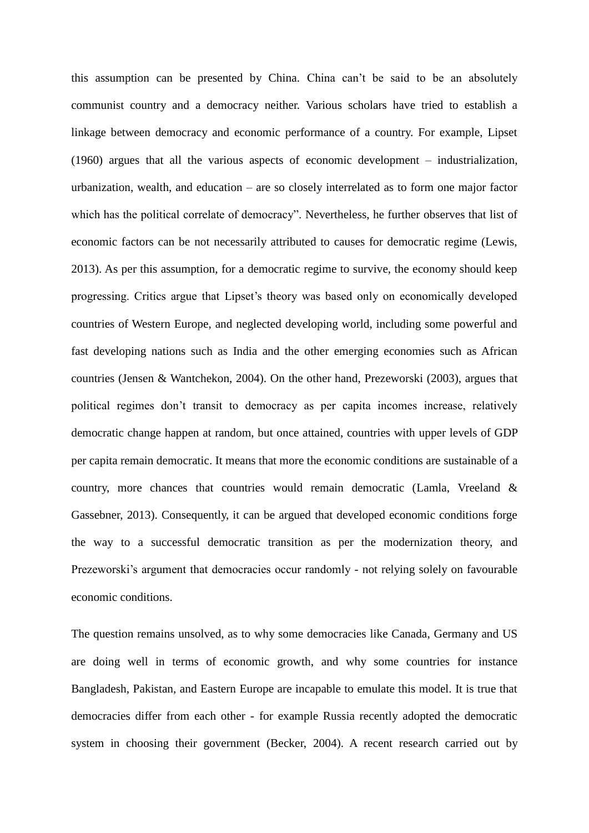this assumption can be presented by China. China can't be said to be an absolutely communist country and a democracy neither. Various scholars have tried to establish a linkage between democracy and economic performance of a country. For example, Lipset (1960) argues that all the various aspects of economic development – industrialization, urbanization, wealth, and education – are so closely interrelated as to form one major factor which has the political correlate of democracy". Nevertheless, he further observes that list of economic factors can be not necessarily attributed to causes for democratic regime (Lewis, 2013). As per this assumption, for a democratic regime to survive, the economy should keep progressing. Critics argue that Lipset's theory was based only on economically developed countries of Western Europe, and neglected developing world, including some powerful and fast developing nations such as India and the other emerging economies such as African countries (Jensen & Wantchekon, 2004). On the other hand, Prezeworski (2003), argues that political regimes don't transit to democracy as per capita incomes increase, relatively democratic change happen at random, but once attained, countries with upper levels of GDP per capita remain democratic. It means that more the economic conditions are sustainable of a country, more chances that countries would remain democratic (Lamla, Vreeland & Gassebner, 2013). Consequently, it can be argued that developed economic conditions forge the way to a successful democratic transition as per the modernization theory, and Prezeworski's argument that democracies occur randomly - not relying solely on favourable economic conditions.

The question remains unsolved, as to why some democracies like Canada, Germany and US are doing well in terms of economic growth, and why some countries for instance Bangladesh, Pakistan, and Eastern Europe are incapable to emulate this model. It is true that democracies differ from each other - for example Russia recently adopted the democratic system in choosing their government (Becker, 2004). A recent research carried out by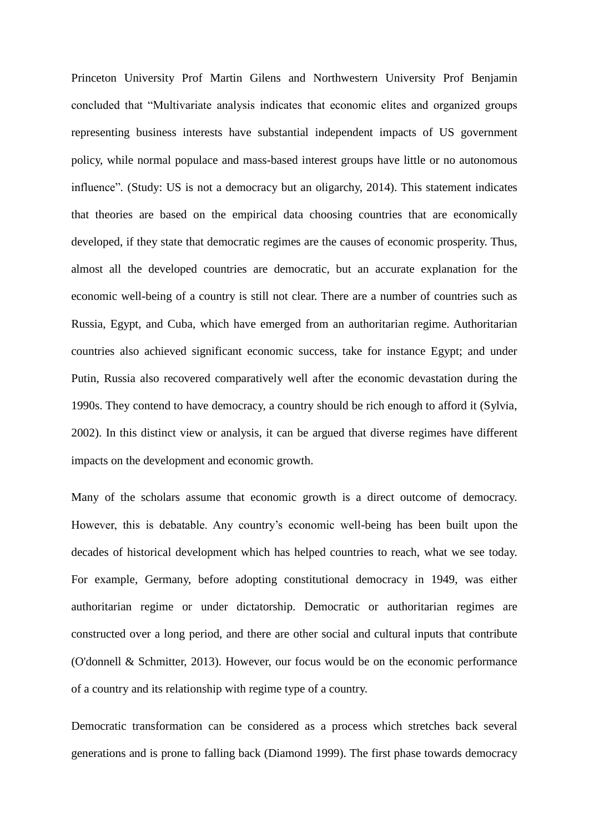Princeton University Prof Martin Gilens and Northwestern University Prof Benjamin concluded that "Multivariate analysis indicates that economic elites and organized groups representing business interests have substantial independent impacts of US government policy, while normal populace and mass-based interest groups have little or no autonomous influence"*.* (Study: US is not a democracy but an oligarchy, 2014). This statement indicates that theories are based on the empirical data choosing countries that are economically developed, if they state that democratic regimes are the causes of economic prosperity. Thus, almost all the developed countries are democratic, but an accurate explanation for the economic well-being of a country is still not clear. There are a number of countries such as Russia, Egypt, and Cuba, which have emerged from an authoritarian regime. Authoritarian countries also achieved significant economic success, take for instance Egypt; and under Putin, Russia also recovered comparatively well after the economic devastation during the 1990s. They contend to have democracy, a country should be rich enough to afford it (Sylvia, 2002). In this distinct view or analysis, it can be argued that diverse regimes have different impacts on the development and economic growth.

Many of the scholars assume that economic growth is a direct outcome of democracy. However, this is debatable. Any country's economic well-being has been built upon the decades of historical development which has helped countries to reach, what we see today. For example, Germany, before adopting constitutional democracy in 1949, was either authoritarian regime or under dictatorship. Democratic or authoritarian regimes are constructed over a long period, and there are other social and cultural inputs that contribute (O'donnell & Schmitter, 2013). However, our focus would be on the economic performance of a country and its relationship with regime type of a country.

Democratic transformation can be considered as a process which stretches back several generations and is prone to falling back (Diamond 1999). The first phase towards democracy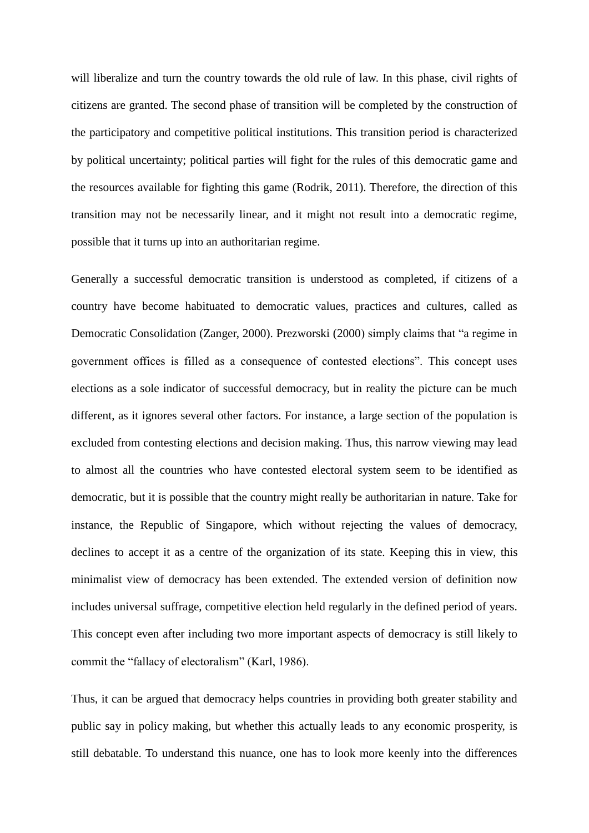will liberalize and turn the country towards the old rule of law. In this phase, civil rights of citizens are granted. The second phase of transition will be completed by the construction of the participatory and competitive political institutions. This transition period is characterized by political uncertainty; political parties will fight for the rules of this democratic game and the resources available for fighting this game (Rodrik, 2011). Therefore, the direction of this transition may not be necessarily linear, and it might not result into a democratic regime, possible that it turns up into an authoritarian regime.

Generally a successful democratic transition is understood as completed, if citizens of a country have become habituated to democratic values, practices and cultures, called as Democratic Consolidation (Zanger, 2000). Prezworski (2000) simply claims that "a regime in government offices is filled as a consequence of contested elections". This concept uses elections as a sole indicator of successful democracy, but in reality the picture can be much different, as it ignores several other factors. For instance, a large section of the population is excluded from contesting elections and decision making. Thus, this narrow viewing may lead to almost all the countries who have contested electoral system seem to be identified as democratic, but it is possible that the country might really be authoritarian in nature. Take for instance, the Republic of Singapore, which without rejecting the values of democracy, declines to accept it as a centre of the organization of its state. Keeping this in view, this minimalist view of democracy has been extended. The extended version of definition now includes universal suffrage, competitive election held regularly in the defined period of years. This concept even after including two more important aspects of democracy is still likely to commit the "fallacy of electoralism" (Karl, 1986).

Thus, it can be argued that democracy helps countries in providing both greater stability and public say in policy making, but whether this actually leads to any economic prosperity, is still debatable. To understand this nuance, one has to look more keenly into the differences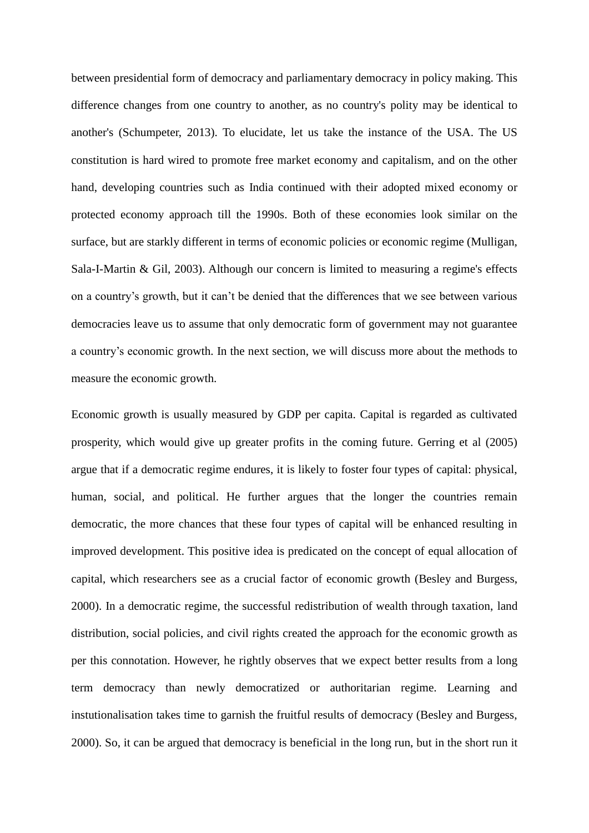between presidential form of democracy and parliamentary democracy in policy making. This difference changes from one country to another, as no country's polity may be identical to another's (Schumpeter, 2013). To elucidate, let us take the instance of the USA. The US constitution is hard wired to promote free market economy and capitalism, and on the other hand, developing countries such as India continued with their adopted mixed economy or protected economy approach till the 1990s. Both of these economies look similar on the surface, but are starkly different in terms of economic policies or economic regime (Mulligan, Sala-I-Martin & Gil, 2003). Although our concern is limited to measuring a regime's effects on a country's growth, but it can't be denied that the differences that we see between various democracies leave us to assume that only democratic form of government may not guarantee a country's economic growth. In the next section, we will discuss more about the methods to measure the economic growth.

Economic growth is usually measured by GDP per capita. Capital is regarded as cultivated prosperity, which would give up greater profits in the coming future. Gerring et al (2005) argue that if a democratic regime endures, it is likely to foster four types of capital: physical, human, social, and political. He further argues that the longer the countries remain democratic, the more chances that these four types of capital will be enhanced resulting in improved development. This positive idea is predicated on the concept of equal allocation of capital, which researchers see as a crucial factor of economic growth (Besley and Burgess, 2000). In a democratic regime, the successful redistribution of wealth through taxation, land distribution, social policies, and civil rights created the approach for the economic growth as per this connotation. However, he rightly observes that we expect better results from a long term democracy than newly democratized or authoritarian regime. Learning and instutionalisation takes time to garnish the fruitful results of democracy (Besley and Burgess, 2000). So, it can be argued that democracy is beneficial in the long run, but in the short run it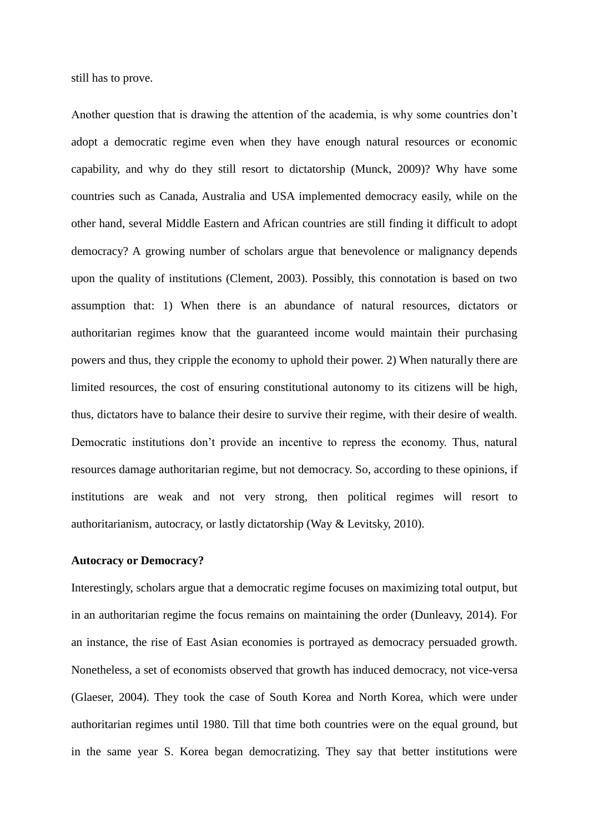still has to prove.

Another question that is drawing the attention of the academia, is why some countries don't adopt a democratic regime even when they have enough natural resources or economic capability, and why do they still resort to dictatorship (Munck, 2009)? Why have some countries such as Canada, Australia and USA implemented democracy easily, while on the other hand, several Middle Eastern and African countries are still finding it difficult to adopt democracy? A growing number of scholars argue that benevolence or malignancy depends upon the quality of institutions (Clement, 2003). Possibly, this connotation is based on two assumption that: 1) When there is an abundance of natural resources, dictators or authoritarian regimes know that the guaranteed income would maintain their purchasing powers and thus, they cripple the economy to uphold their power. 2) When naturally there are limited resources, the cost of ensuring constitutional autonomy to its citizens will be high, thus, dictators have to balance their desire to survive their regime, with their desire of wealth. Democratic institutions don't provide an incentive to repress the economy. Thus, natural resources damage authoritarian regime, but not democracy. So, according to these opinions, if institutions are weak and not very strong, then political regimes will resort to authoritarianism, autocracy, or lastly dictatorship (Way & Levitsky, 2010).

### **Autocracy or Democracy?**

Interestingly, scholars argue that a democratic regime focuses on maximizing total output, but in an authoritarian regime the focus remains on maintaining the order (Dunleavy, 2014). For an instance, the rise of East Asian economies is portrayed as democracy persuaded growth. Nonetheless, a set of economists observed that growth has induced democracy, not vice-versa (Glaeser, 2004). They took the case of South Korea and North Korea, which were under authoritarian regimes until 1980. Till that time both countries were on the equal ground, but in the same year S. Korea began democratizing. They say that better institutions were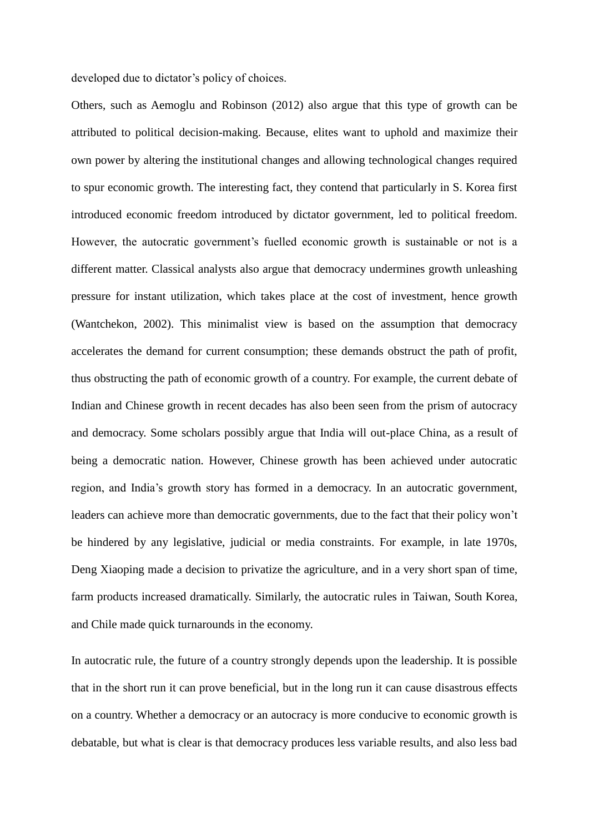developed due to dictator's policy of choices.

Others, such as Aemoglu and Robinson (2012) also argue that this type of growth can be attributed to political decision-making. Because, elites want to uphold and maximize their own power by altering the institutional changes and allowing technological changes required to spur economic growth. The interesting fact, they contend that particularly in S. Korea first introduced economic freedom introduced by dictator government, led to political freedom. However, the autocratic government's fuelled economic growth is sustainable or not is a different matter. Classical analysts also argue that democracy undermines growth unleashing pressure for instant utilization, which takes place at the cost of investment, hence growth (Wantchekon, 2002). This minimalist view is based on the assumption that democracy accelerates the demand for current consumption; these demands obstruct the path of profit, thus obstructing the path of economic growth of a country. For example, the current debate of Indian and Chinese growth in recent decades has also been seen from the prism of autocracy and democracy. Some scholars possibly argue that India will out-place China, as a result of being a democratic nation. However, Chinese growth has been achieved under autocratic region, and India's growth story has formed in a democracy. In an autocratic government, leaders can achieve more than democratic governments, due to the fact that their policy won't be hindered by any legislative, judicial or media constraints. For example, in late 1970s, Deng Xiaoping made a decision to privatize the agriculture, and in a very short span of time, farm products increased dramatically. Similarly, the autocratic rules in Taiwan, South Korea, and Chile made quick turnarounds in the economy.

In autocratic rule, the future of a country strongly depends upon the leadership. It is possible that in the short run it can prove beneficial, but in the long run it can cause disastrous effects on a country. Whether a democracy or an autocracy is more conducive to economic growth is debatable, but what is clear is that democracy produces less variable results, and also less bad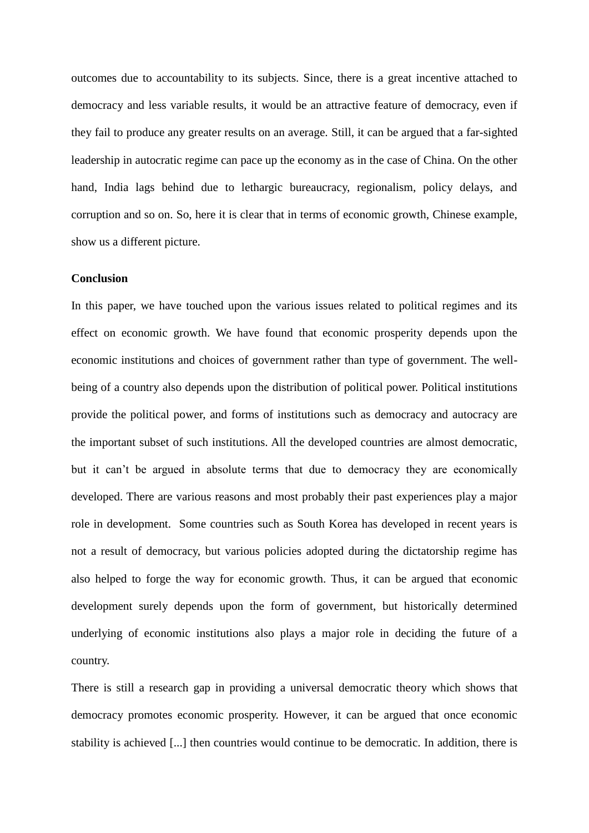outcomes due to accountability to its subjects. Since, there is a great incentive attached to democracy and less variable results, it would be an attractive feature of democracy, even if they fail to produce any greater results on an average. Still, it can be argued that a far-sighted leadership in autocratic regime can pace up the economy as in the case of China. On the other hand, India lags behind due to lethargic bureaucracy, regionalism, policy delays, and corruption and so on. So, here it is clear that in terms of economic growth, Chinese example, show us a different picture.

## **Conclusion**

In this paper, we have touched upon the various issues related to political regimes and its effect on economic growth. We have found that economic prosperity depends upon the economic institutions and choices of government rather than type of government. The wellbeing of a country also depends upon the distribution of political power. Political institutions provide the political power, and forms of institutions such as democracy and autocracy are the important subset of such institutions. All the developed countries are almost democratic, but it can't be argued in absolute terms that due to democracy they are economically developed. There are various reasons and most probably their past experiences play a major role in development. Some countries such as South Korea has developed in recent years is not a result of democracy, but various policies adopted during the dictatorship regime has also helped to forge the way for economic growth. Thus, it can be argued that economic development surely depends upon the form of government, but historically determined underlying of economic institutions also plays a major role in deciding the future of a country.

There is still a research gap in providing a universal democratic theory which shows that democracy promotes economic prosperity. However, it can be argued that once economic stability is achieved [...] then countries would continue to be democratic. In addition, there is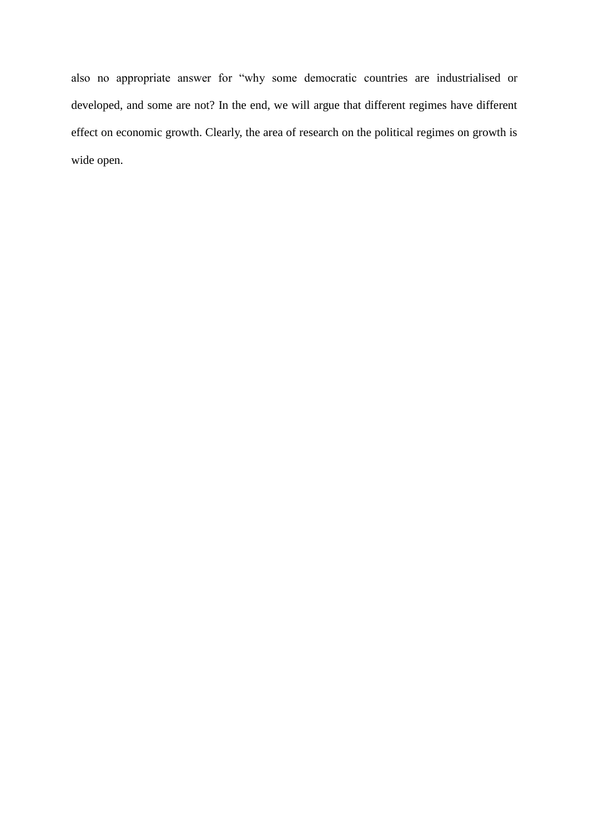also no appropriate answer for "why some democratic countries are industrialised or developed, and some are not? In the end, we will argue that different regimes have different effect on economic growth. Clearly, the area of research on the political regimes on growth is wide open.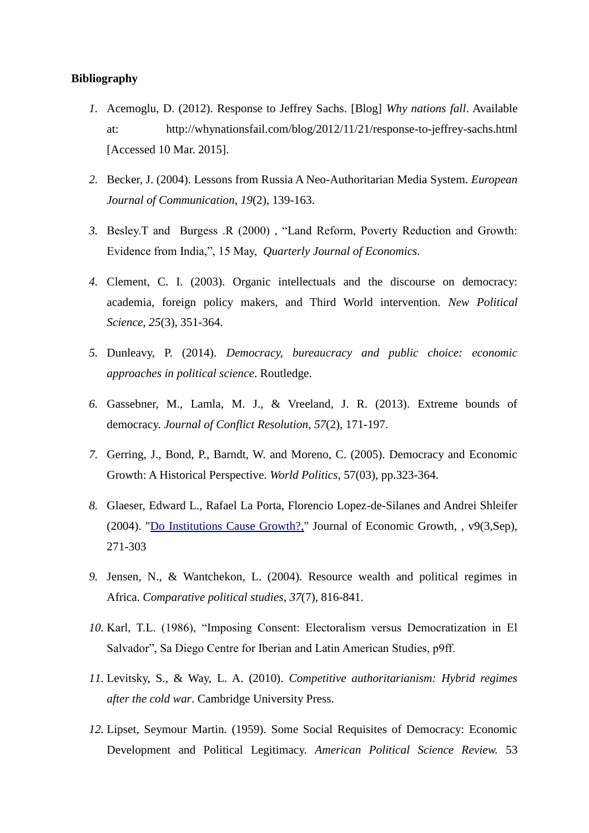## **Bibliography**

- *1.* Acemoglu, D. (2012). Response to Jeffrey Sachs. [Blog] *Why nations fall*. Available at: http://whynationsfail.com/blog/2012/11/21/response-to-jeffrey-sachs.html [Accessed 10 Mar. 2015].
- *2.* Becker, J. (2004). Lessons from Russia A Neo-Authoritarian Media System. *European Journal of Communication*, *19*(2), 139-163.
- *3.* Besley.T and Burgess .R (2000) , "Land Reform, Poverty Reduction and Growth: Evidence from India,", 15 May, *Quarterly Journal of Economics.*
- *4.* Clement, C. I. (2003). Organic intellectuals and the discourse on democracy: academia, foreign policy makers, and Third World intervention. *New Political Science*, *25*(3), 351-364.
- *5.* Dunleavy, P. (2014). *Democracy, bureaucracy and public choice: economic approaches in political science*. Routledge.
- *6.* Gassebner, M., Lamla, M. J., & Vreeland, J. R. (2013). Extreme bounds of democracy. *Journal of Conflict Resolution*, *57*(2), 171-197.
- *7.* Gerring, J., Bond, P., Barndt, W. and Moreno, C. (2005). Democracy and Economic Growth: A Historical Perspective. *World Politics*, 57(03), pp.323-364.
- *8.* Glaeser, Edward L., Rafael La Porta, Florencio Lopez-de-Silanes and Andrei Shleifer (2004). ["Do Institutions Cause Growth?,"](http://ideas.repec.org/a/kap/jecgro/v9y2004i3p271-303.html) Journal of Economic Growth, , v9(3,Sep), 271-303
- *9.* Jensen, N., & Wantchekon, L. (2004). Resource wealth and political regimes in Africa. *Comparative political studies*, *37*(7), 816-841.
- *10.* Karl, T.L. (1986), "Imposing Consent: Electoralism versus Democratization in El Salvador", Sa Diego Centre for Iberian and Latin American Studies, p9ff.
- *11.* Levitsky, S., & Way, L. A. (2010). *Competitive authoritarianism: Hybrid regimes after the cold war*. Cambridge University Press.
- *12.* Lipset, Seymour Martin. (1959). Some Social Requisites of Democracy: Economic Development and Political Legitimacy. *American Political Science Review.* 53